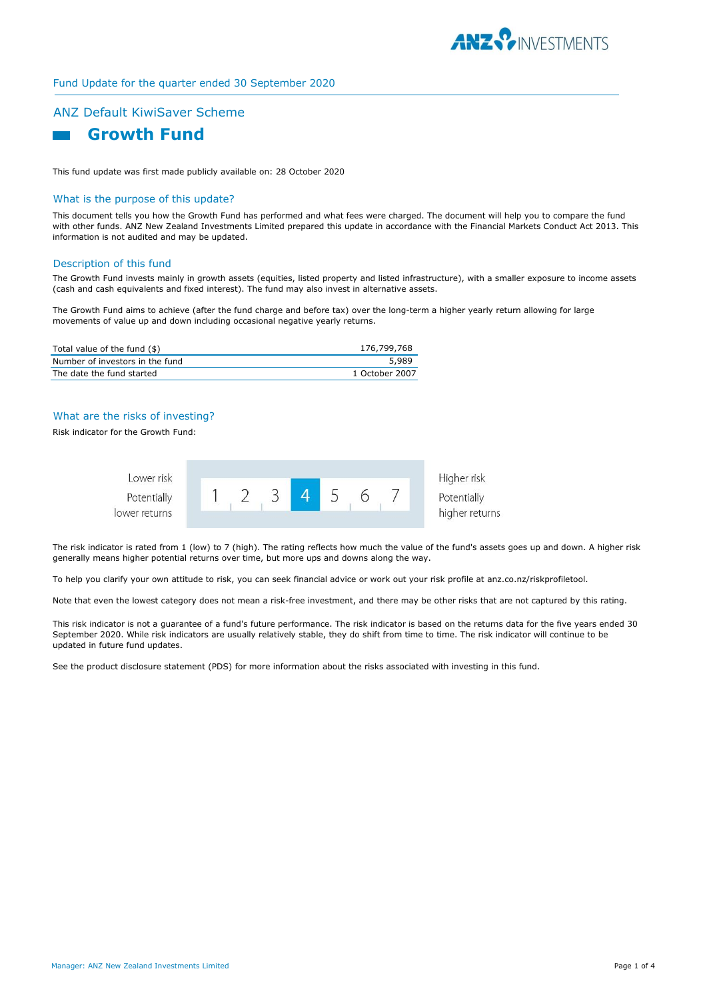

## Fund Update for the quarter ended 30 September 2020

# ANZ Default KiwiSaver Scheme



This fund update was first made publicly available on: 28 October 2020

## What is the purpose of this update?

This document tells you how the Growth Fund has performed and what fees were charged. The document will help you to compare the fund with other funds. ANZ New Zealand Investments Limited prepared this update in accordance with the Financial Markets Conduct Act 2013. This information is not audited and may be updated.

#### Description of this fund

The Growth Fund invests mainly in growth assets (equities, listed property and listed infrastructure), with a smaller exposure to income assets (cash and cash equivalents and fixed interest). The fund may also invest in alternative assets.

The Growth Fund aims to achieve (after the fund charge and before tax) over the long-term a higher yearly return allowing for large movements of value up and down including occasional negative yearly returns.

| Total value of the fund $(\$)$  | 176,799,768    |
|---------------------------------|----------------|
| Number of investors in the fund | 5.989          |
| The date the fund started       | 1 October 2007 |

### What are the risks of investing?

Risk indicator for the Growth Fund:



The risk indicator is rated from 1 (low) to 7 (high). The rating reflects how much the value of the fund's assets goes up and down. A higher risk generally means higher potential returns over time, but more ups and downs along the way.

To help you clarify your own attitude to risk, you can seek financial advice or work out your risk profile at anz.co.nz/riskprofiletool.

Note that even the lowest category does not mean a risk-free investment, and there may be other risks that are not captured by this rating.

This risk indicator is not a guarantee of a fund's future performance. The risk indicator is based on the returns data for the five years ended 30 September 2020. While risk indicators are usually relatively stable, they do shift from time to time. The risk indicator will continue to be updated in future fund updates.

See the product disclosure statement (PDS) for more information about the risks associated with investing in this fund.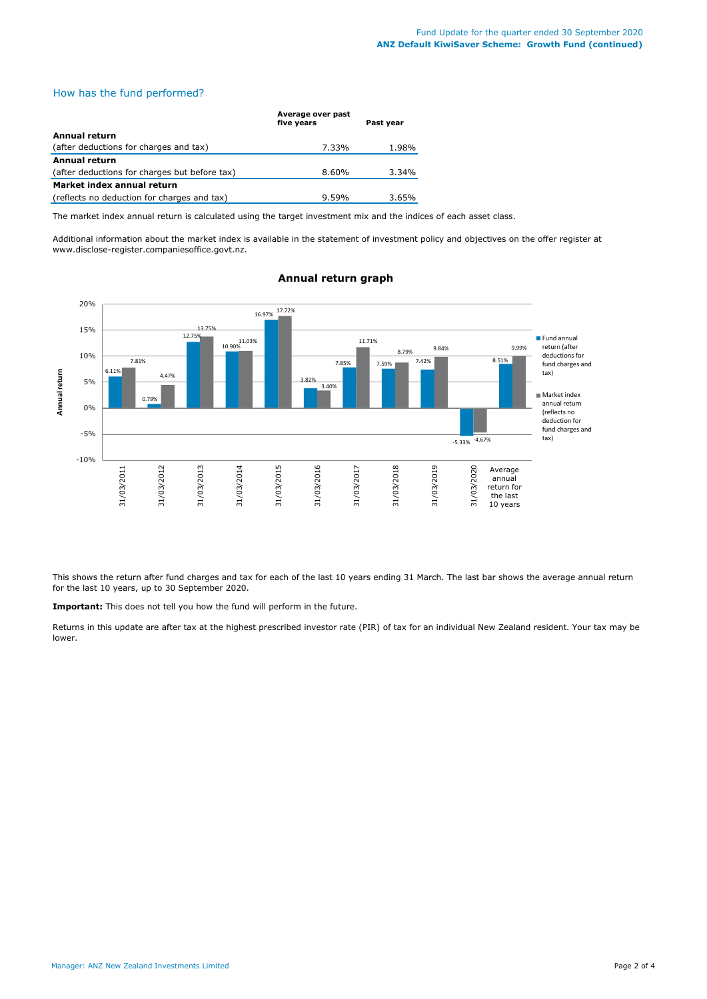# How has the fund performed?

|                                               | Average over past<br>five years | Past year |
|-----------------------------------------------|---------------------------------|-----------|
| <b>Annual return</b>                          |                                 |           |
| (after deductions for charges and tax)        | 7.33%                           | 1.98%     |
| Annual return                                 |                                 |           |
| (after deductions for charges but before tax) | 8.60%                           | 3.34%     |
| Market index annual return                    |                                 |           |
| (reflects no deduction for charges and tax)   | 9.59%                           | 3.65%     |

The market index annual return is calculated using the target investment mix and the indices of each asset class.

Additional information about the market index is available in the statement of investment policy and objectives on the offer register at www.disclose-register.companiesoffice.govt.nz.



## **Annual return graph**

This shows the return after fund charges and tax for each of the last 10 years ending 31 March. The last bar shows the average annual return for the last 10 years, up to 30 September 2020.

**Important:** This does not tell you how the fund will perform in the future.

Returns in this update are after tax at the highest prescribed investor rate (PIR) of tax for an individual New Zealand resident. Your tax may be lower.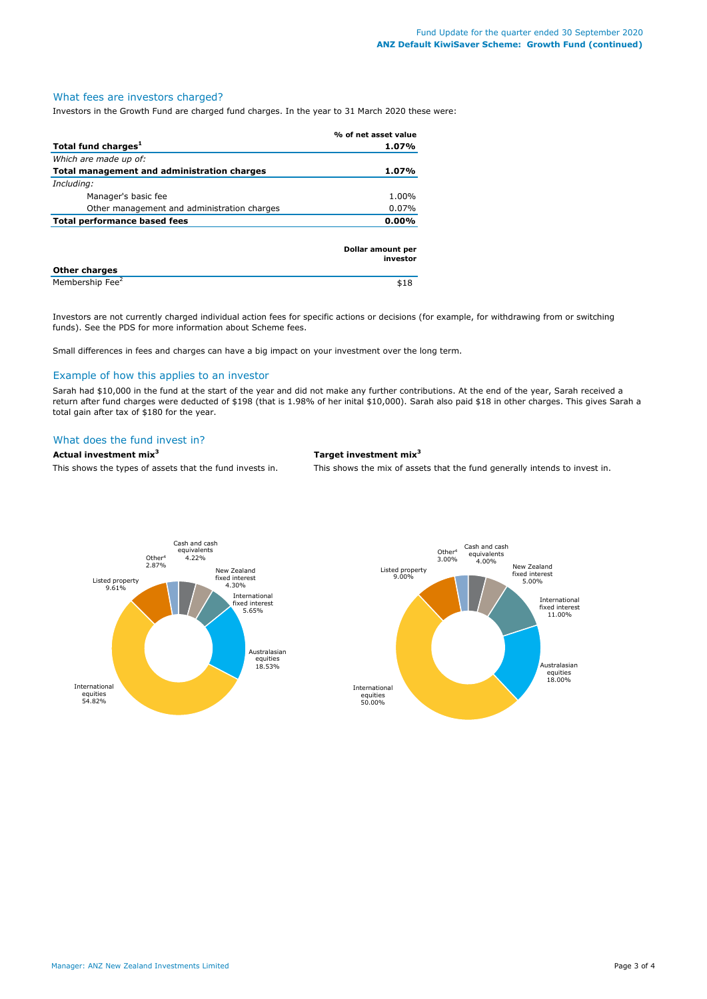## What fees are investors charged?

Investors in the Growth Fund are charged fund charges. In the year to 31 March 2020 these were:

|                                             | % of net asset value          |
|---------------------------------------------|-------------------------------|
| Total fund charges <sup>1</sup>             | 1.07%                         |
| Which are made up of:                       |                               |
| Total management and administration charges | 1.07%                         |
| Including:                                  |                               |
| Manager's basic fee                         | 1.00%                         |
| Other management and administration charges | $0.07\%$                      |
| <b>Total performance based fees</b>         | $0.00\%$                      |
|                                             | Dollar amount per<br>investor |
| <b>Other charges</b>                        |                               |
| Membership Fee <sup>2</sup>                 | \$18                          |

Investors are not currently charged individual action fees for specific actions or decisions (for example, for withdrawing from or switching funds). See the PDS for more information about Scheme fees.

Small differences in fees and charges can have a big impact on your investment over the long term.

#### Example of how this applies to an investor

Sarah had \$10,000 in the fund at the start of the year and did not make any further contributions. At the end of the year, Sarah received a return after fund charges were deducted of \$198 (that is 1.98% of her inital \$10,000). Sarah also paid \$18 in other charges. This gives Sarah a total gain after tax of \$180 for the year.

#### What does the fund invest in?

# **Actual investment mix<sup>3</sup> Target investment mix<sup>3</sup>**

This shows the types of assets that the fund invests in. This shows the mix of assets that the fund generally intends to invest in.